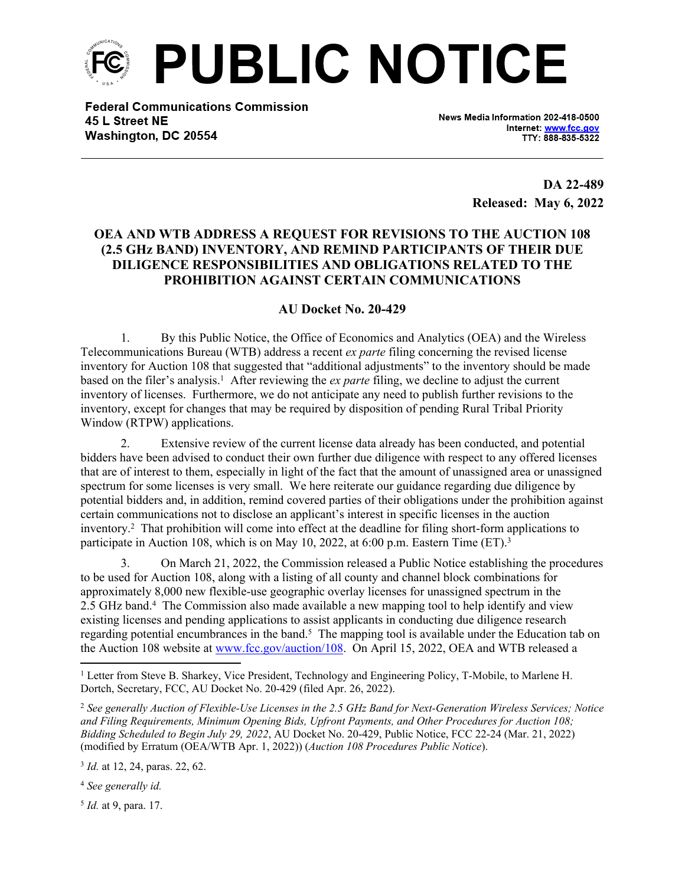

**Federal Communications Commission** 45 L Street NE Washington, DC 20554

News Media Information 202-418-0500 Internet: www.fcc.gov TTY: 888-835-5322

> **DA 22-489 Released: May 6, 2022**

## **OEA AND WTB ADDRESS A REQUEST FOR REVISIONS TO THE AUCTION 108 (2.5 GHz BAND) INVENTORY, AND REMIND PARTICIPANTS OF THEIR DUE DILIGENCE RESPONSIBILITIES AND OBLIGATIONS RELATED TO THE PROHIBITION AGAINST CERTAIN COMMUNICATIONS**

## **AU Docket No. 20-429**

1. By this Public Notice, the Office of Economics and Analytics (OEA) and the Wireless Telecommunications Bureau (WTB) address a recent *ex parte* filing concerning the revised license inventory for Auction 108 that suggested that "additional adjustments" to the inventory should be made based on the filer's analysis.<sup>1</sup> After reviewing the *ex parte* filing, we decline to adjust the current inventory of licenses. Furthermore, we do not anticipate any need to publish further revisions to the inventory, except for changes that may be required by disposition of pending Rural Tribal Priority Window (RTPW) applications.

2. Extensive review of the current license data already has been conducted, and potential bidders have been advised to conduct their own further due diligence with respect to any offered licenses that are of interest to them, especially in light of the fact that the amount of unassigned area or unassigned spectrum for some licenses is very small. We here reiterate our guidance regarding due diligence by potential bidders and, in addition, remind covered parties of their obligations under the prohibition against certain communications not to disclose an applicant's interest in specific licenses in the auction inventory.<sup>2</sup> That prohibition will come into effect at the deadline for filing short-form applications to participate in Auction 108, which is on May 10, 2022, at 6:00 p.m. Eastern Time (ET).<sup>3</sup>

3. On March 21, 2022, the Commission released a Public Notice establishing the procedures to be used for Auction 108, along with a listing of all county and channel block combinations for approximately 8,000 new flexible-use geographic overlay licenses for unassigned spectrum in the 2.5 GHz band.<sup>4</sup> The Commission also made available a new mapping tool to help identify and view existing licenses and pending applications to assist applicants in conducting due diligence research regarding potential encumbrances in the band.<sup>5</sup> The mapping tool is available under the Education tab on the Auction 108 website at [www.fcc.gov/auction/108.](https://www.fcc.gov/auction/108) On April 15, 2022, OEA and WTB released a

<sup>2</sup> *See generally Auction of Flexible-Use Licenses in the 2.5 GHz Band for Next-Generation Wireless Services; Notice and Filing Requirements, Minimum Opening Bids, Upfront Payments, and Other Procedures for Auction 108; Bidding Scheduled to Begin July 29, 2022*, AU Docket No. 20-429, Public Notice, FCC 22-24 (Mar. 21, 2022) (modified by Erratum (OEA/WTB Apr. 1, 2022)) (*Auction 108 Procedures Public Notice*).

3 *Id.* at 12, 24, paras. 22, 62.

<sup>4</sup> *See generally id.*

5 *Id.* at 9, para. 17.

<sup>&</sup>lt;sup>1</sup> Letter from Steve B. Sharkey, Vice President, Technology and Engineering Policy, T-Mobile, to Marlene H. Dortch, Secretary, FCC, AU Docket No. 20-429 (filed Apr. 26, 2022).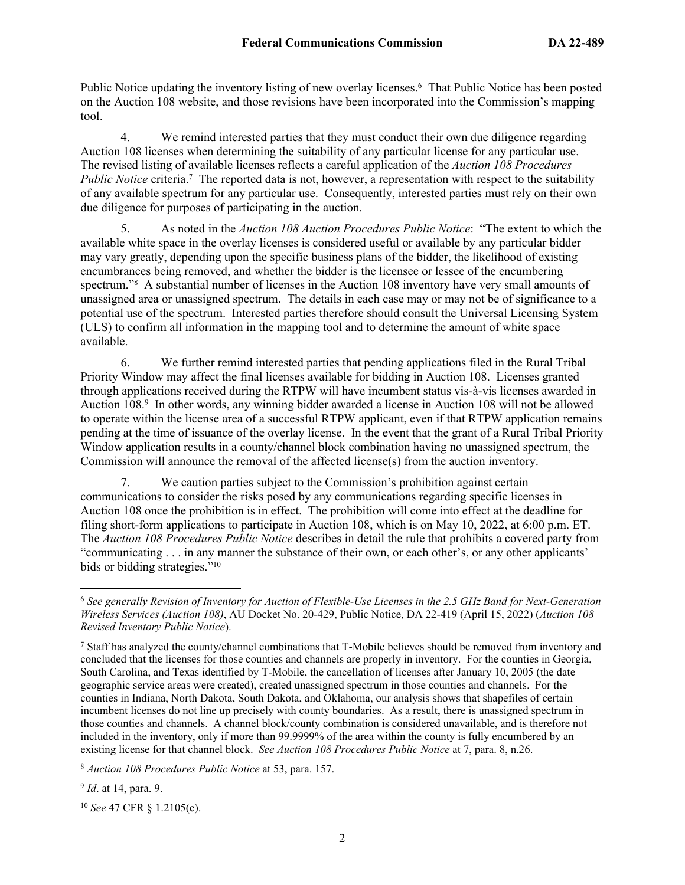Public Notice updating the inventory listing of new overlay licenses.<sup>6</sup> That Public Notice has been posted on the Auction 108 website, and those revisions have been incorporated into the Commission's mapping tool.

4. We remind interested parties that they must conduct their own due diligence regarding Auction 108 licenses when determining the suitability of any particular license for any particular use. The revised listing of available licenses reflects a careful application of the *Auction 108 Procedures*  Public Notice criteria.<sup>7</sup> The reported data is not, however, a representation with respect to the suitability of any available spectrum for any particular use. Consequently, interested parties must rely on their own due diligence for purposes of participating in the auction.

5. As noted in the *Auction 108 Auction Procedures Public Notice*: "The extent to which the available white space in the overlay licenses is considered useful or available by any particular bidder may vary greatly, depending upon the specific business plans of the bidder, the likelihood of existing encumbrances being removed, and whether the bidder is the licensee or lessee of the encumbering spectrum."<sup>8</sup> A substantial number of licenses in the Auction 108 inventory have very small amounts of unassigned area or unassigned spectrum. The details in each case may or may not be of significance to a potential use of the spectrum. Interested parties therefore should consult the Universal Licensing System (ULS) to confirm all information in the mapping tool and to determine the amount of white space available.

6. We further remind interested parties that pending applications filed in the Rural Tribal Priority Window may affect the final licenses available for bidding in Auction 108. Licenses granted through applications received during the RTPW will have incumbent status vis-à-vis licenses awarded in Auction 108.<sup>9</sup> In other words, any winning bidder awarded a license in Auction 108 will not be allowed to operate within the license area of a successful RTPW applicant, even if that RTPW application remains pending at the time of issuance of the overlay license. In the event that the grant of a Rural Tribal Priority Window application results in a county/channel block combination having no unassigned spectrum, the Commission will announce the removal of the affected license(s) from the auction inventory.

7. We caution parties subject to the Commission's prohibition against certain communications to consider the risks posed by any communications regarding specific licenses in Auction 108 once the prohibition is in effect. The prohibition will come into effect at the deadline for filing short-form applications to participate in Auction 108, which is on May 10, 2022, at 6:00 p.m. ET. The *Auction 108 Procedures Public Notice* describes in detail the rule that prohibits a covered party from "communicating . . . in any manner the substance of their own, or each other's, or any other applicants' bids or bidding strategies."<sup>10</sup>

9 *Id*. at 14, para. 9.

<sup>10</sup> *See* 47 CFR § 1.2105(c).

<sup>6</sup> *See generally Revision of Inventory for Auction of Flexible-Use Licenses in the 2.5 GHz Band for Next-Generation Wireless Services (Auction 108)*, AU Docket No. 20-429, Public Notice, DA 22-419 (April 15, 2022) (*Auction 108 Revised Inventory Public Notice*).

<sup>&</sup>lt;sup>7</sup> Staff has analyzed the county/channel combinations that T-Mobile believes should be removed from inventory and concluded that the licenses for those counties and channels are properly in inventory. For the counties in Georgia, South Carolina, and Texas identified by T-Mobile, the cancellation of licenses after January 10, 2005 (the date geographic service areas were created), created unassigned spectrum in those counties and channels. For the counties in Indiana, North Dakota, South Dakota, and Oklahoma, our analysis shows that shapefiles of certain incumbent licenses do not line up precisely with county boundaries. As a result, there is unassigned spectrum in those counties and channels. A channel block/county combination is considered unavailable, and is therefore not included in the inventory, only if more than 99.9999% of the area within the county is fully encumbered by an existing license for that channel block. *See Auction 108 Procedures Public Notice* at 7, para. 8, n.26.

<sup>8</sup>  *Auction 108 Procedures Public Notice* at 53, para. 157.